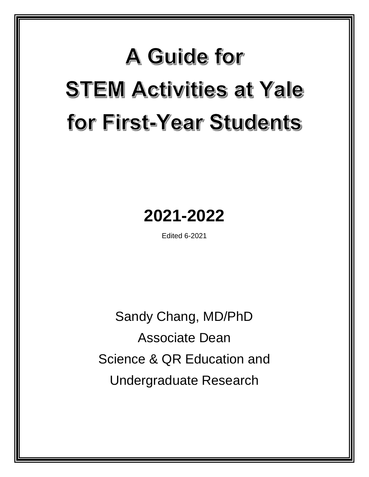# A Guide for **STEM Activities at Yale** for First-Year Students

# **2021-2022**

Edited 6-2021

Sandy Chang, MD/PhD Associate Dean Science & QR Education and Undergraduate Research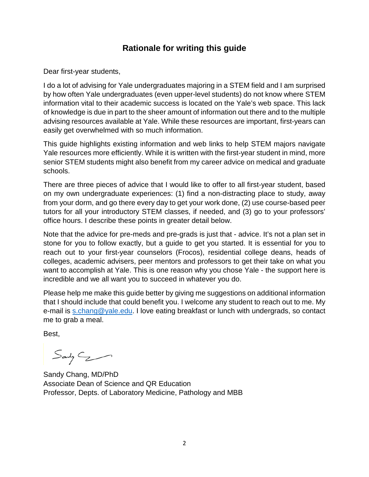# **Rationale for writing this guide**

Dear first-year students,

I do a lot of advising for Yale undergraduates majoring in a STEM field and I am surprised by how often Yale undergraduates (even upper-level students) do not know where STEM information vital to their academic success is located on the Yale's web space. This lack of knowledge is due in part to the sheer amount of information out there and to the multiple advising resources available at Yale. While these resources are important, first-years can easily get overwhelmed with so much information.

This guide highlights existing information and web links to help STEM majors navigate Yale resources more efficiently. While it is written with the first-year student in mind, more senior STEM students might also benefit from my career advice on medical and graduate schools.

There are three pieces of advice that I would like to offer to all first-year student, based on my own undergraduate experiences: (1) find a non-distracting place to study, away from your dorm, and go there every day to get your work done, (2) use course-based peer tutors for all your introductory STEM classes, if needed, and (3) go to your professors' office hours. I describe these points in greater detail below.

Note that the advice for pre-meds and pre-grads is just that - advice. It's not a plan set in stone for you to follow exactly, but a guide to get you started. It is essential for you to reach out to your first-year counselors (Frocos), residential college deans, heads of colleges, academic advisers, peer mentors and professors to get their take on what you want to accomplish at Yale. This is one reason why you chose Yale - the support here is incredible and we all want you to succeed in whatever you do.

Please help me make this guide better by giving me suggestions on additional information that I should include that could benefit you. I welcome any student to reach out to me. My e-mail is [s.chang@yale.edu.](mailto:s.chang@yale.edu) I love eating breakfast or lunch with undergrads, so contact me to grab a meal.

Best,

 $S$ anty  $C_2$ 

Sandy Chang, MD/PhD Associate Dean of Science and QR Education Professor, Depts. of Laboratory Medicine, Pathology and MBB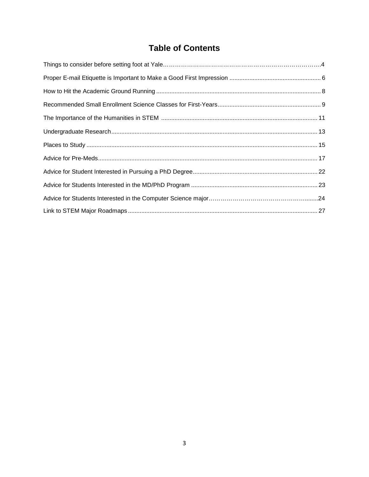# **Table of Contents**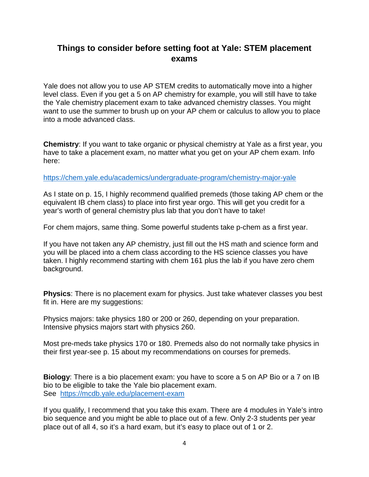# **Things to consider before setting foot at Yale: STEM placement exams**

Yale does not allow you to use AP STEM credits to automatically move into a higher level class. Even if you get a 5 on AP chemistry for example, you will still have to take the Yale chemistry placement exam to take advanced chemistry classes. You might want to use the summer to brush up on your AP chem or calculus to allow you to place into a mode advanced class.

**Chemistry**: If you want to take organic or physical chemistry at Yale as a first year, you have to take a placement exam, no matter what you get on your AP chem exam. Info here:

#### <https://chem.yale.edu/academics/undergraduate-program/chemistry-major-yale>

As I state on p. 15, I highly recommend qualified premeds (those taking AP chem or the equivalent IB chem class) to place into first year orgo. This will get you credit for a year's worth of general chemistry plus lab that you don't have to take!

For chem majors, same thing. Some powerful students take p-chem as a first year.

If you have not taken any AP chemistry, just fill out the HS math and science form and you will be placed into a chem class according to the HS science classes you have taken. I highly recommend starting with chem 161 plus the lab if you have zero chem background.

**Physics**: There is no placement exam for physics. Just take whatever classes you best fit in. Here are my suggestions:

Physics majors: take physics 180 or 200 or 260, depending on your preparation. Intensive physics majors start with physics 260.

Most pre-meds take physics 170 or 180. Premeds also do not normally take physics in their first year-see p. 15 about my recommendations on courses for premeds.

**Biology**: There is a bio placement exam: you have to score a 5 on AP Bio or a 7 on IB bio to be eligible to take the Yale bio placement exam. See <https://mcdb.yale.edu/placement-exam>

If you qualify, I recommend that you take this exam. There are 4 modules in Yale's intro bio sequence and you might be able to place out of a few. Only 2-3 students per year place out of all 4, so it's a hard exam, but it's easy to place out of 1 or 2.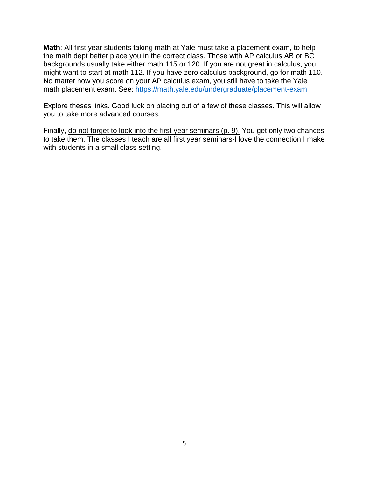**Math**: All first year students taking math at Yale must take a placement exam, to help the math dept better place you in the correct class. Those with AP calculus AB or BC backgrounds usually take either math 115 or 120. If you are not great in calculus, you might want to start at math 112. If you have zero calculus background, go for math 110. No matter how you score on your AP calculus exam, you still have to take the Yale math placement exam. See:<https://math.yale.edu/undergraduate/placement-exam>

Explore theses links. Good luck on placing out of a few of these classes. This will allow you to take more advanced courses.

Finally, do not forget to look into the first year seminars (p. 9). You get only two chances to take them. The classes I teach are all first year seminars-I love the connection I make with students in a small class setting.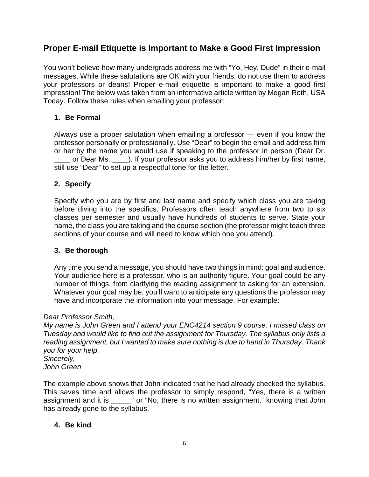# **Proper E-mail Etiquette is Important to Make a Good First Impression**

You won't believe how many undergrads address me with "Yo, Hey, Dude" in their e-mail messages. While these salutations are OK with your friends, do not use them to address your professors or deans! Proper e-mail etiquette is important to make a good first impression! The below was taken from an informative article written by Megan Roth, USA Today. Follow these rules when emailing your professor:

#### **1. Be Formal**

Always use a proper salutation when emailing a professor — even if you know the professor personally or professionally. Use "Dear" to begin the email and address him or her by the name you would use if speaking to the professor in person (Dear Dr. or Dear Ms.  $\qquad$ ). If your professor asks you to address him/her by first name, still use "Dear" to set up a respectful tone for the letter.

# **2. Specify**

Specify who you are by first and last name and specify which class you are taking before diving into the specifics. Professors often teach anywhere from two to six classes per semester and usually have hundreds of students to serve. State your name, the class you are taking and the course section (the professor might teach three sections of your course and will need to know which one you attend).

#### **3. Be thorough**

Any time you send a message, you should have two things in mind: goal and audience. Your audience here is a professor, who is an authority figure. Your goal could be any number of things, from clarifying the reading assignment to asking for an extension. Whatever your goal may be, you'll want to anticipate any questions the professor may have and incorporate the information into your message. For example:

#### *Dear Professor Smith,*

*My name is John Green and I attend your ENC4214 section 9 course. I missed class on Tuesday and would like to find out the assignment for Thursday. The syllabus only lists a reading assignment, but I wanted to make sure nothing is due to hand in Thursday. Thank you for your help. Sincerely,*

*John Green*

The example above shows that John indicated that he had already checked the syllabus. This saves time and allows the professor to simply respond, "Yes, there is a written assignment and it is \_\_\_\_\_" or "No, there is no written assignment," knowing that John has already gone to the syllabus.

#### **4. Be kind**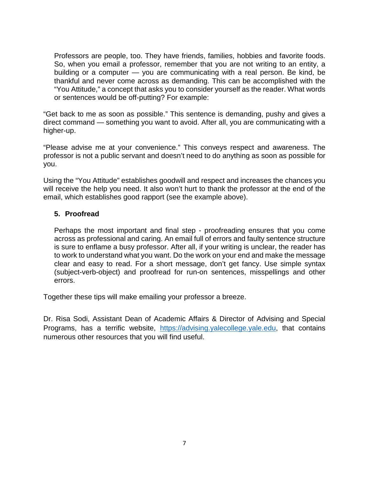Professors are people, too. They have friends, families, hobbies and favorite foods. So, when you email a professor, remember that you are not writing to an entity, a building or a computer — you are communicating with a real person. Be kind, be thankful and never come across as demanding. This can be accomplished with the "You Attitude," a concept that asks you to consider yourself as the reader. What words or sentences would be off-putting? For example:

"Get back to me as soon as possible." This sentence is demanding, pushy and gives a direct command — something you want to avoid. After all, you are communicating with a higher-up.

"Please advise me at your convenience." This conveys respect and awareness. The professor is not a public servant and doesn't need to do anything as soon as possible for you.

Using the "You Attitude" establishes goodwill and respect and increases the chances you will receive the help you need. It also won't hurt to thank the professor at the end of the email, which establishes good rapport (see the example above).

#### **5. Proofread**

Perhaps the most important and final step - proofreading ensures that you come across as professional and caring. An email full of errors and faulty sentence structure is sure to enflame a busy professor. After all, if your writing is unclear, the reader has to work to understand what you want. Do the work on your end and make the message clear and easy to read. For a short message, don't get fancy. Use simple syntax (subject-verb-object) and proofread for run-on sentences, misspellings and other errors.

Together these tips will make emailing your professor a breeze.

Dr. Risa Sodi, Assistant Dean of Academic Affairs & Director of Advising and Special Programs, has a terrific website, [https://advising.yalecollege.yale.edu,](https://na01.safelinks.protection.outlook.com/?url=https%3A%2F%2Fadvising.yalecollege.yale.edu&data=02%7C01%7C%7C682b462b16544cb46d3f08d5d09b30e2%7Cdd8cbebb21394df8b4114e3e87abeb5c%7C0%7C0%7C636644287301915740&sdata=aWjk6EdC7F9QdreqtwywgWqjfJ7YfhZw6032xhu4OBI%3D&reserved=0) that contains numerous other resources that you will find useful.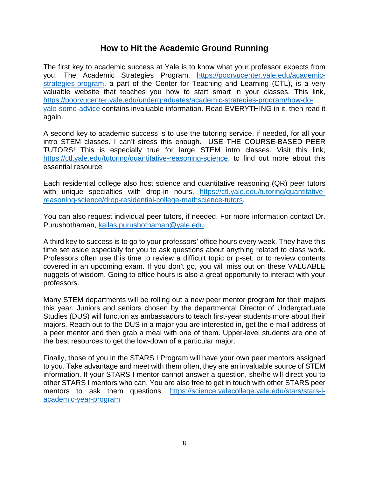# **How to Hit the Academic Ground Running**

The first key to academic success at Yale is to know what your professor expects from you. The Academic Strategies Program, [https://poorvucenter.yale.edu/academic](https://poorvucenter.yale.edu/academic-strategies-program)[strategies-program,](https://poorvucenter.yale.edu/academic-strategies-program) a part of the Center for Teaching and Learning (CTL), is a very valuable website that teaches you how to start smart in your classes. This link, [https://poorvucenter.yale.edu/undergraduates/academic-strategies-program/how-do](https://poorvucenter.yale.edu/undergraduates/academic-strategies-program/how-do-yale-some-advice)[yale-some-advice](https://poorvucenter.yale.edu/undergraduates/academic-strategies-program/how-do-yale-some-advice) contains invaluable information. Read EVERYTHING in it, then read it again.

A second key to academic success is to use the tutoring service, if needed, for all your intro STEM classes. I can't stress this enough. USE THE COURSE-BASED PEER TUTORS! This is especially true for large STEM intro classes. Visit this link, [https://ctl.yale.edu/tutoring/quantitative-reasoning-science,](https://ctl.yale.edu/tutoring/quantitative-reasoning-science) to find out more about this essential resource.

Each residential college also host science and quantitative reasoning (QR) peer tutors with unique specialties with drop-in hours, [https://ctl.yale.edu/tutoring/quantitative](https://ctl.yale.edu/tutoring/quantitative-reasoning-science/drop-residential-college-mathscience-tutors)[reasoning-science/drop-residential-college-mathscience-tutors.](https://ctl.yale.edu/tutoring/quantitative-reasoning-science/drop-residential-college-mathscience-tutors)

You can also request individual peer tutors, if needed. For more information contact Dr. Purushothaman, [kailas.purushothaman@yale.edu.](mailto:kailas.purushothaman@yale.edu)

A third key to success is to go to your professors' office hours every week. They have this time set aside especially for you to ask questions about anything related to class work. Professors often use this time to review a difficult topic or p-set, or to review contents covered in an upcoming exam. If you don't go, you will miss out on these VALUABLE nuggets of wisdom. Going to office hours is also a great opportunity to interact with your professors.

Many STEM departments will be rolling out a new peer mentor program for their majors this year. Juniors and seniors chosen by the departmental Director of Undergraduate Studies (DUS) will function as ambassadors to teach first-year students more about their majors. Reach out to the DUS in a major you are interested in, get the e-mail address of a peer mentor and then grab a meal with one of them. Upper-level students are one of the best resources to get the low-down of a particular major.

Finally, those of you in the STARS I Program will have your own peer mentors assigned to you. Take advantage and meet with them often, they are an invaluable source of STEM information. If your STARS I mentor cannot answer a question, she/he will direct you to other STARS I mentors who can. You are also free to get in touch with other STARS peer mentors to ask them questions. [https://science.yalecollege.yale.edu/stars/stars-i](https://science.yalecollege.yale.edu/stars/stars-i-academic-year-program)[academic-year-program](https://science.yalecollege.yale.edu/stars/stars-i-academic-year-program)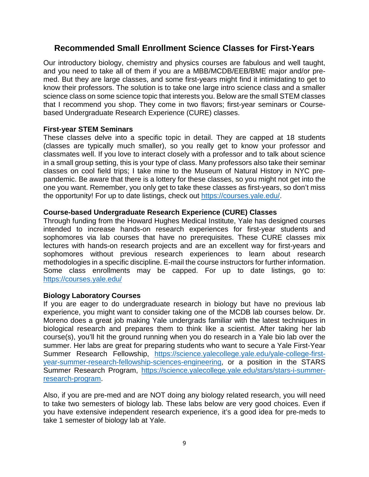# **Recommended Small Enrollment Science Classes for First-Years**

Our introductory biology, chemistry and physics courses are fabulous and well taught, and you need to take all of them if you are a MBB/MCDB/EEB/BME major and/or premed. But they are large classes, and some first-years might find it intimidating to get to know their professors. The solution is to take one large intro science class and a smaller science class on some science topic that interests you. Below are the small STEM classes that I recommend you shop. They come in two flavors; first-year seminars or Coursebased Undergraduate Research Experience (CURE) classes.

#### **First-year STEM Seminars**

These classes delve into a specific topic in detail. They are capped at 18 students (classes are typically much smaller), so you really get to know your professor and classmates well. If you love to interact closely with a professor and to talk about science in a small group setting, this is your type of class. Many professors also take their seminar classes on cool field trips; I take mine to the Museum of Natural History in NYC prepandemic. Be aware that there is a lottery for these classes, so you might not get into the one you want. Remember, you only get to take these classes as first-years, so don't miss the opportunity! For up to date listings, check out [https://courses.yale.edu/.](https://courses.yale.edu/)

#### **Course-based Undergraduate Research Experience (CURE) Classes**

Through funding from the Howard Hughes Medical Institute, Yale has designed courses intended to increase hands-on research experiences for first-year students and sophomores via lab courses that have no prerequisites. These CURE classes mix lectures with hands-on research projects and are an excellent way for first-years and sophomores without previous research experiences to learn about research methodologies in a specific discipline. E-mail the course instructors for further information. Some class enrollments may be capped. For up to date listings, go to: <https://courses.yale.edu/>

#### **Biology Laboratory Courses**

If you are eager to do undergraduate research in biology but have no previous lab experience, you might want to consider taking one of the MCDB lab courses below. Dr. Moreno does a great job making Yale undergrads familiar with the latest techniques in biological research and prepares them to think like a scientist. After taking her lab course(s), you'll hit the ground running when you do research in a Yale bio lab over the summer. Her labs are great for preparing students who want to secure a Yale First-Year Summer Research Fellowship, [https://science.yalecollege.yale.edu/yale-college-first](https://science.yalecollege.yale.edu/yale-college-first-year-summer-research-fellowship-sciences-engineering)[year-summer-research-fellowship-sciences-engineering,](https://science.yalecollege.yale.edu/yale-college-first-year-summer-research-fellowship-sciences-engineering) or a position in the STARS Summer Research Program, [https://science.yalecollege.yale.edu/stars/stars-i-summer](https://science.yalecollege.yale.edu/stars/stars-i-summer-research-program)[research-program.](https://science.yalecollege.yale.edu/stars/stars-i-summer-research-program)

Also, if you are pre-med and are NOT doing any biology related research, you will need to take two semesters of biology lab. These labs below are very good choices. Even if you have extensive independent research experience, it's a good idea for pre-meds to take 1 semester of biology lab at Yale.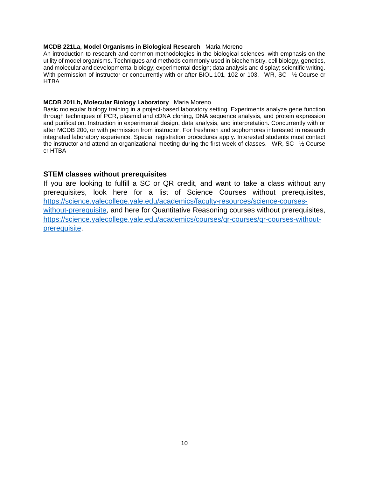#### **MCDB 221La, Model Organisms in Biological Research** Maria Moreno

An introduction to research and common methodologies in the biological sciences, with emphasis on the utility of model organisms. Techniques and methods commonly used in biochemistry, cell biology, genetics, and molecular and developmental biology; experimental design; data analysis and display; scientific writing. With permission of instructor or concurrently with or after [BIOL](http://catalog.yale.edu/search/?P=BIOL%20101) 101, [102](http://catalog.yale.edu/search/?P=BIOL%20102) or [103.](http://catalog.yale.edu/search/?P=BIOL%20103) WR, SC  $\frac{1}{2}$  Course cr **HTBA** 

#### **MCDB 201Lb, Molecular Biology Laboratory** Maria Moreno

Basic molecular biology training in a project-based laboratory setting. Experiments analyze gene function through techniques of PCR, plasmid and cDNA cloning, DNA sequence analysis, and protein expression and purification. Instruction in experimental design, data analysis, and interpretation. Concurrently with or after [MCDB](http://catalog.yale.edu/search/?P=MCDB%20200) 200, or with permission from instructor. For freshmen and sophomores interested in research integrated laboratory experience. Special registration procedures apply. Interested students must contact the instructor and attend an organizational meeting during the first week of classes. WR, SC ½ Course cr HTBA

#### **STEM classes without prerequisites**

If you are looking to fulfill a SC or QR credit, and want to take a class without any prerequisites, look here for a list of Science Courses without prerequisites, [https://science.yalecollege.yale.edu/academics/faculty-resources/science-courses](https://science.yalecollege.yale.edu/academics/faculty-resources/science-courses-without-prerequisite)[without-prerequisite,](https://science.yalecollege.yale.edu/academics/faculty-resources/science-courses-without-prerequisite) and here for Quantitative Reasoning courses without prerequisites, [https://science.yalecollege.yale.edu/academics/courses/qr-courses/qr-courses-without](https://science.yalecollege.yale.edu/academics/courses/qr-courses/qr-courses-without-prerequisite)[prerequisite.](https://science.yalecollege.yale.edu/academics/courses/qr-courses/qr-courses-without-prerequisite)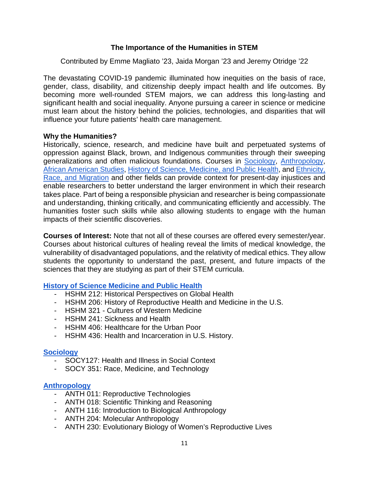#### **The Importance of the Humanities in STEM**

Contributed by Emme Magliato '23, Jaida Morgan '23 and Jeremy Otridge '22

The devastating COVID-19 pandemic illuminated how inequities on the basis of race, gender, class, disability, and citizenship deeply impact health and life outcomes. By becoming more well-rounded STEM majors, we can address this long-lasting and significant health and social inequality. Anyone pursuing a career in science or medicine must learn about the history behind the policies, technologies, and disparities that will influence your future patients' health care management.

#### **Why the Humanities?**

Historically, science, research, and medicine have built and perpetuated systems of oppression against Black, brown, and Indigenous communities through their sweeping generalizations and often malicious foundations. Courses in [Sociology,](https://sociology.yale.edu/academics/undergraduate-program) [Anthropology,](https://anthropology.yale.edu/academics/undergraduate-program) [African American Studies,](https://afamstudies.yale.edu/undergraduate-major) [History of Science, Medicine, and Public Health,](https://hshm.yale.edu/undergraduate-major) and [Ethnicity,](https://erm.yale.edu/academics)  [Race, and Migration](https://erm.yale.edu/academics) and other fields can provide context for present-day injustices and enable researchers to better understand the larger environment in which their research takes place. Part of being a responsible physician and researcher is being compassionate and understanding, thinking critically, and communicating efficiently and accessibly. The humanities foster such skills while also allowing students to engage with the human impacts of their scientific discoveries.

**Courses of Interest:** Note that not all of these courses are offered every semester/year. Courses about historical cultures of healing reveal the limits of medical knowledge, the vulnerability of disadvantaged populations, and the relativity of medical ethics. They allow students the opportunity to understand the past, present, and future impacts of the sciences that they are studying as part of their STEM curricula.

#### **[History of Science Medicine and Public Health](https://hshm.yale.edu/undergraduate-major)**

- HSHM 212: Historical Perspectives on Global Health
- HSHM 206: History of Reproductive Health and Medicine in the U.S.
- HSHM 321 Cultures of Western Medicine
- HSHM 241: Sickness and Health
- HSHM 406: Healthcare for the Urban Poor
- HSHM 436: Health and Incarceration in U.S. History.

#### **[Sociology](https://sociology.yale.edu/academics/undergraduate-program)**

- SOCY127: Health and Illness in Social Context
- SOCY 351: Race, Medicine, and Technology

#### **[Anthropology](https://anthropology.yale.edu/)**

- ANTH 011: Reproductive Technologies
- ANTH 018: Scientific Thinking and Reasoning
- ANTH 116: Introduction to Biological Anthropology
- ANTH 204: Molecular Anthropology
- ANTH 230: Evolutionary Biology of Women's Reproductive Lives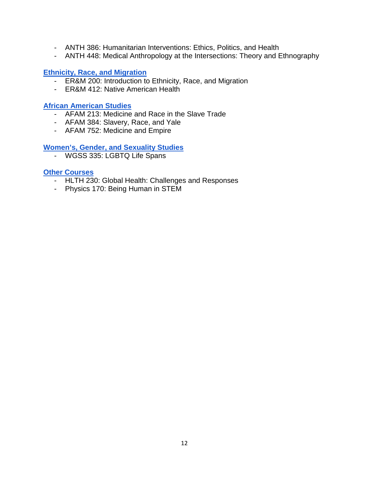- ANTH 386: Humanitarian Interventions: Ethics, Politics, and Health
- ANTH 448: Medical Anthropology at the Intersections: Theory and Ethnography

#### **[Ethnicity, Race, and Migration](https://erm.yale.edu/academics)**

- ER&M 200: Introduction to Ethnicity, Race, and Migration
- ER&M 412: Native American Health

#### **[African American Studies](https://afamstudies.yale.edu/undergraduate-major)**

- AFAM 213: Medicine and Race in the Slave Trade
- AFAM 384: Slavery, Race, and Yale
- AFAM 752: Medicine and Empire

#### **[Women's, Gender, and Sexuality Studies](https://wgss.yale.edu/undergraduate-program)**

- WGSS 335: LGBTQ Life Spans

#### **[Other](https://wgss.yale.edu/undergraduate-program) Courses**

- HLTH 230: Global Health: Challenges and Responses
- Physics 170: Being Human in STEM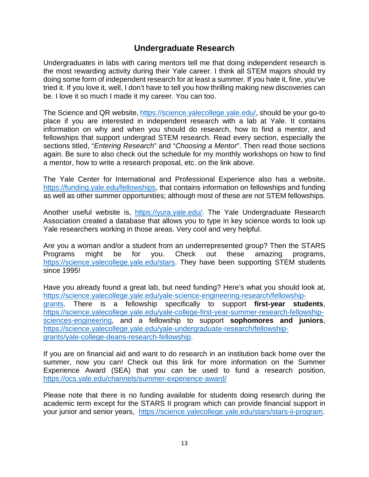# **Undergraduate Research**

Undergraduates in labs with caring mentors tell me that doing independent research is the most rewarding activity during their Yale career. I think all STEM majors should try doing some form of independent research for at least a summer. If you hate it, fine, you've tried it. If you love it, well, I don't have to tell you how thrilling making new discoveries can be. I love it so much I made it my career. You can too.

The Science and QR website, [https://science.yalecollege.yale.edu/,](https://science.yalecollege.yale.edu/) should be your go-to place if you are interested in independent research with a lab at Yale. It contains information on why and when you should do research, how to find a mentor, and fellowships that support undergrad STEM research. Read every section, especially the sections titled, "*Entering Research*" and "*Choosing a Mentor*". Then read those sections again. Be sure to also check out the schedule for my monthly workshops on how to find a mentor, how to write a research proposal, etc. on the link above.

The Yale Center for International and Professional Experience also has a website, [https://funding.yale.edu/fellowships,](https://funding.yale.edu/fellowships) that contains information on fellowships and funding as well as other summer opportunities; although most of these are not STEM fellowships.

Another useful website is, [https://yura.yale.edu/.](https://yura.yale.edu/) The Yale Undergraduate Research Association created a database that allows you to type in key science words to look up Yale researchers working in those areas. Very cool and very helpful.

Are you a woman and/or a student from an underrepresented group? Then the STARS Programs might be for you. Check out these amazing programs, [https://science.yalecollege.yale.edu/stars.](https://science.yalecollege.yale.edu/stars) They have been supporting STEM students since 1995!

Have you already found a great lab, but need funding? Here's what you should look at, [https://science.yalecollege.yale.edu/yale-science-engineering-research/fellowship](https://science.yalecollege.yale.edu/yale-science-engineering-research/fellowship-grants)[grants.](https://science.yalecollege.yale.edu/yale-science-engineering-research/fellowship-grants) There is a fellowship specifically to support **first-year students**, [https://science.yalecollege.yale.edu/yale-college-first-year-summer-research-fellowship](https://science.yalecollege.yale.edu/yale-college-first-year-summer-research-fellowship-sciences-engineering)[sciences-engineering,](https://science.yalecollege.yale.edu/yale-college-first-year-summer-research-fellowship-sciences-engineering) and a fellowship to support **sophomores and juniors**, [https://science.yalecollege.yale.edu/yale-undergraduate-research/fellowship](https://science.yalecollege.yale.edu/yale-undergraduate-research/fellowship-grants/yale-college-deans-research-fellowship)[grants/yale-college-deans-research-fellowship.](https://science.yalecollege.yale.edu/yale-undergraduate-research/fellowship-grants/yale-college-deans-research-fellowship)

If you are on financial aid and want to do research in an institution back home over the summer, now you can! Check out this link for more information on the Summer Experience Award (SEA) that you can be used to fund a research position, <https://ocs.yale.edu/channels/summer-experience-award/>

Please note that there is no funding available for students doing research during the academic term except for the STARS II program which can provide financial support in your junior and senior years, [https://science.yalecollege.yale.edu/stars/stars-ii-program.](https://science.yalecollege.yale.edu/stars/stars-ii-program)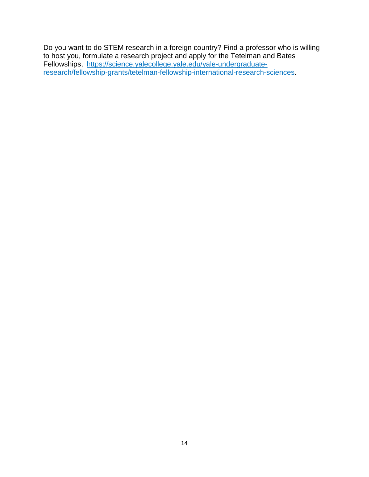Do you want to do STEM research in a foreign country? Find a professor who is willing to host you, formulate a research project and apply for the Tetelman and Bates Fellowships, [https://science.yalecollege.yale.edu/yale-undergraduate](https://science.yalecollege.yale.edu/yale-undergraduate-research/fellowship-grants/tetelman-fellowship-international-research-sciences)[research/fellowship-grants/tetelman-fellowship-international-research-sciences.](https://science.yalecollege.yale.edu/yale-undergraduate-research/fellowship-grants/tetelman-fellowship-international-research-sciences)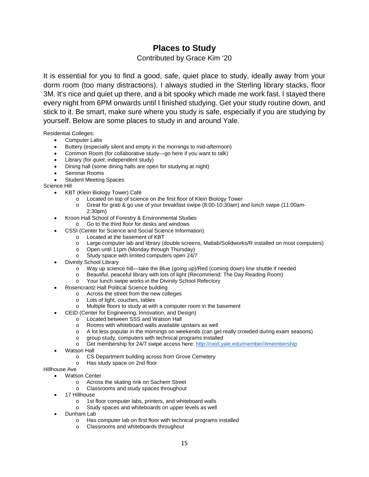# **Places to Study**

#### Contributed by Grace Kim '20

It is essential for you to find a good, safe, quiet place to study, ideally away from your dorm room (too many distractions). I always studied in the Sterling library stacks, floor 3M. It's nice and quiet up there, and a bit spooky which made me work fast. I stayed there every night from 6PM onwards until I finished studying. Get your study routine down, and stick to it. Be smart, make sure where you study is safe, especially if you are studying by yourself. Below are some places to study in and around Yale.

Residential Colleges:

- **Computer Labs**
- Buttery (especially silent and empty in the mornings to mid-afternoon)
- Common Room (for collaborative study—go here if you want to talk)
- Library (for *quiet*, independent study)
- Dining hall (some dining halls are open for studying at night)
- Seminar Rooms
- **Student Meeting Spaces**

Science Hill

- KBT (Klein Biology Tower) Café
	- o Located on top of science on the first floor of Klein Biology Tower<br>
	o Great for grab & go use of your breakfast swipe (8:00-10:30am) a
	- Great for grab & go use of your breakfast swipe (8:00-10:30am) and lunch swipe (11:00am-2:30pm)
- Kroon Hall School of Forestry & Environmental Studies
	- o Go to the third floor for desks and windows
- CSSI (Center for Science and Social Science Information)
	- o Located at the basement of KBT<br>
	o Large computer lab and library (c
	- o Large computer lab and library (double screens, Matlab/Solidworks/R installed on most computers)<br>
	o Open until 11pm (Mondav through Thursdav)
	- Open until 11pm (Monday through Thursday)
	- o Study space with limited computers open 24/7
- Divinity School Library
	- o Way up science hill—take the Blue (going up)/Red (coming down) line shuttle if needed o<br>Beautiful, peaceful library with lots of light (Recommend: The Day Reading Room)
	- o Beautiful, peaceful library with lots of light (Recommend: The Day Reading Room)<br>o Your lunch swipe works in the Divinity School Refectory
	- Your lunch swipe works in the Divinity School Refectory
- Rosencrantz Hall Political Science building
	- o Across the street from the new colleges
		- o Lots of light, couches, tables<br>
		o Multiple floors to study at with
		- Multiple floors to study at with a computer room in the basement
- CEID (Center for Engineering, Innovation, and Design)
	- o Located between SSS and Watson Hall
	- o Rooms with whiteboard walls available upstairs as well
	- $\circ$  A lot less popular in the mornings on weekends (can get really crowded during exam seasons)<br>  $\circ$  aroup study, computers with technical programs installed
	- group study, computers with technical programs installed
	- o Get membership for 24/7 swipe access here:<http://ceid.yale.edu/member/#membership>
- Watson Hall
	- o CS Department building across from Grove Cemetery
	- o Has study space on 2nd floor

Hillhouse Ave

- **Watson Center** 
	- o Across the skating rink on Sachem Street
	- o Classrooms and study spaces throughout
- 17 Hillhouse
	- o 1st floor computer labs, printers, and whiteboard walls<br>
	o Study spaces and whiteboards on upper levels as well
	- Study spaces and whiteboards on upper levels as well
- Dunham Lab
	- o Has computer lab on first floor with technical programs installed
	- o Classrooms and whiteboards throughout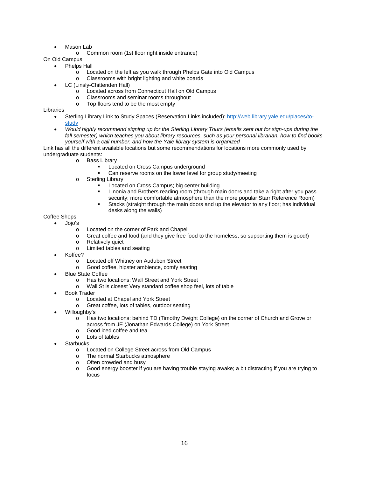- Mason Lab
	- o Common room (1st floor right inside entrance)

On Old Campus

- Phelps Hall
	- o Located on the left as you walk through Phelps Gate into Old Campus
	- o Classrooms with bright lighting and white boards
	- LC (Linsly-Chittenden Hall)
		- o Located across from Connecticut Hall on Old Campus<br>
		Classrooms and seminar rooms throughout
		- Classrooms and seminar rooms throughout
		- o Top floors tend to be the most empty

#### Libraries

- Sterling Library Link to Study Spaces (Reservation Links included)[: http://web.library.yale.edu/places/to](http://web.library.yale.edu/places/to-study)[study](http://web.library.yale.edu/places/to-study)
- *Would highly recommend signing up for the Sterling Library Tours (emails sent out for sign-ups during the fall semester) which teaches you about library resources, such as your personal librarian, how to find books yourself with a call number, and how the Yale library system is organized*

Link has all the different available locations but some recommendations for locations more commonly used by undergraduate students:

- o Bass Library
	- Located on Cross Campus underground
		- Can reserve rooms on the lower level for group study/meeting
- o Sterling Library
	- Located on Cross Campus; big center building
	- Linonia and Brothers reading room (through main doors and take a right after you pass security; more comfortable atmosphere than the more popular Starr Reference Room)
	- Stacks (straight through the main doors and up the elevator to any floor; has individual desks along the walls)

#### Coffee Shops

- Jojo's
	- o Located on the corner of Park and Chapel
	- o Great coffee and food (and they give free food to the homeless, so supporting them is good!)
	- o Relatively quiet
	- o Limited tables and seating
- Koffee?
	- Located off Whitney on Audubon Street<br>○ Good coffee, hipster ambience, comfy s
	- Good coffee, hipster ambience, comfy seating
- Blue State Coffee
	- o Has two locations: Wall Street and York Street<br>o Wall St is closest Very standard coffee shop fee
	- Wall St is closest Very standard coffee shop feel, lots of table
- Book Trader
	- o Located at Chapel and York Street<br>
	o Great coffee, lots of tables, outdoor
	- Great coffee, lots of tables, outdoor seating
- Willoughby's
	- o Has two locations: behind TD (Timothy Dwight College) on the corner of Church and Grove or across from JE (Jonathan Edwards College) on York Street
	- Good iced coffee and tea<br>○ Lots of tables
	- Lots of tables
- **Starbucks** 
	- o Located on College Street across from Old Campus<br>
	o The normal Starbucks atmosphere
	- The normal Starbucks atmosphere<br>○ Often crowded and busy
	- Often crowded and busy
	- o Good energy booster if you are having trouble staying awake; a bit distracting if you are trying to focus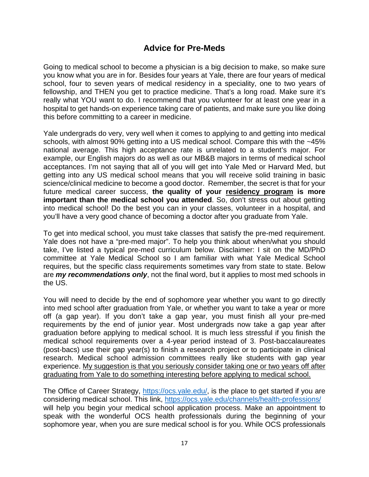# **Advice for Pre-Meds**

Going to medical school to become a physician is a big decision to make, so make sure you know what you are in for. Besides four years at Yale, there are four years of medical school, four to seven years of medical residency in a speciality, one to two years of fellowship, and THEN you get to practice medicine. That's a long road. Make sure it's really what YOU want to do. I recommend that you volunteer for at least one year in a hospital to get hands-on experience taking care of patients, and make sure you like doing this before committing to a career in medicine.

Yale undergrads do very, very well when it comes to applying to and getting into medical schools, with almost 90% getting into a US medical school. Compare this with the ~45% national average. This high acceptance rate is unrelated to a student's major. For example, our English majors do as well as our MB&B majors in terms of medical school acceptances. I'm not saying that all of you will get into Yale Med or Harvard Med, but getting into any US medical school means that you will receive solid training in basic science/clinical medicine to become a good doctor. Remember, the secret is that for your future medical career success, **the quality of your residency program is more important than the medical school you attended**. So, don't stress out about getting into medical school! Do the best you can in your classes, volunteer in a hospital, and you'll have a very good chance of becoming a doctor after you graduate from Yale.

To get into medical school, you must take classes that satisfy the pre-med requirement. Yale does not have a "pre-med major". To help you think about when/what you should take, I've listed a typical pre-med curriculum below. Disclaimer: I sit on the MD/PhD committee at Yale Medical School so I am familiar with what Yale Medical School requires, but the specific class requirements sometimes vary from state to state. Below are *my recommendations only*, not the final word, but it applies to most med schools in the US.

You will need to decide by the end of sophomore year whether you want to go directly into med school after graduation from Yale, or whether you want to take a year or more off (a gap year). If you don't take a gap year, you must finish all your pre-med requirements by the end of junior year. Most undergrads now take a gap year after graduation before applying to medical school. It is much less stressful if you finish the medical school requirements over a 4-year period instead of 3. Post-baccalaureates (post-bacs) use their gap year(s) to finish a research project or to participate in clinical research. Medical school admission committees really like students with gap year experience. My suggestion is that you seriously consider taking one or two years off after graduating from Yale to do something interesting before applying to medical school.

The Office of Career Strategy, [https://ocs.yale.edu/,](https://ocs.yale.edu/) is the place to get started if you are considering medical school. This link, <https://ocs.yale.edu/channels/health-professions/> will help you begin your medical school application process. Make an appointment to speak with the wonderful OCS health professionals during the beginning of your sophomore year, when you are sure medical school is for you. While OCS professionals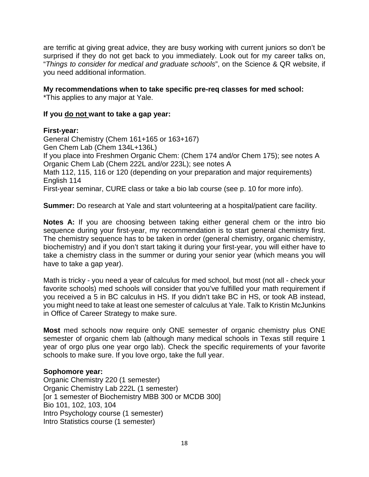are terrific at giving great advice, they are busy working with current juniors so don't be surprised if they do not get back to you immediately. Look out for my career talks on, "*Things to consider for medical and graduate schools*", on the Science & QR website, if you need additional information.

#### **My recommendations when to take specific pre-req classes for med school:**

\*This applies to any major at Yale.

#### **If you do not want to take a gap year:**

#### **First-year:**

General Chemistry (Chem 161+165 or 163+167) Gen Chem Lab (Chem 134L+136L) If you place into Freshmen Organic Chem: (Chem 174 and/or Chem 175); see notes A Organic Chem Lab (Chem 222L and/or 223L); see notes A Math 112, 115, 116 or 120 (depending on your preparation and major requirements) English 114 First-year seminar, CURE class or take a bio lab course (see p. 10 for more info).

**Summer:** Do research at Yale and start volunteering at a hospital/patient care facility.

**Notes A:** If you are choosing between taking either general chem or the intro bio sequence during your first-year, my recommendation is to start general chemistry first. The chemistry sequence has to be taken in order (general chemistry, organic chemistry, biochemistry) and if you don't start taking it during your first-year, you will either have to take a chemistry class in the summer or during your senior year (which means you will have to take a gap year).

Math is tricky - you need a year of calculus for med school, but most (not all - check your favorite schools) med schools will consider that you've fulfilled your math requirement if you received a 5 in BC calculus in HS. If you didn't take BC in HS, or took AB instead, you might need to take at least one semester of calculus at Yale. Talk to Kristin McJunkins in Office of Career Strategy to make sure.

**Most** med schools now require only ONE semester of organic chemistry plus ONE semester of organic chem lab (although many medical schools in Texas still require 1 year of orgo plus one year orgo lab). Check the specific requirements of your favorite schools to make sure. If you love orgo, take the full year.

#### **Sophomore year:**

Organic Chemistry 220 (1 semester) Organic Chemistry Lab 222L (1 semester) [or 1 semester of Biochemistry MBB 300 or MCDB 300] Bio 101, 102, 103, 104 Intro Psychology course (1 semester) Intro Statistics course (1 semester)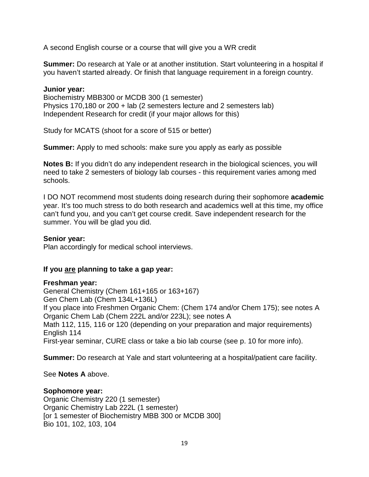A second English course or a course that will give you a WR credit

**Summer:** Do research at Yale or at another institution. Start volunteering in a hospital if you haven't started already. Or finish that language requirement in a foreign country.

#### **Junior year:**

Biochemistry MBB300 or MCDB 300 (1 semester) Physics 170,180 or 200 + lab (2 semesters lecture and 2 semesters lab) Independent Research for credit (if your major allows for this)

Study for MCATS (shoot for a score of 515 or better)

**Summer:** Apply to med schools: make sure you apply as early as possible

**Notes B:** If you didn't do any independent research in the biological sciences, you will need to take 2 semesters of biology lab courses - this requirement varies among med schools.

I DO NOT recommend most students doing research during their sophomore **academic** year. It's too much stress to do both research and academics well at this time, my office can't fund you, and you can't get course credit. Save independent research for the summer. You will be glad you did.

#### **Senior year:**

Plan accordingly for medical school interviews.

#### **If you are planning to take a gap year:**

#### **Freshman year:**

General Chemistry (Chem 161+165 or 163+167) Gen Chem Lab (Chem 134L+136L) If you place into Freshmen Organic Chem: (Chem 174 and/or Chem 175); see notes A Organic Chem Lab (Chem 222L and/or 223L); see notes A Math 112, 115, 116 or 120 (depending on your preparation and major requirements) English 114 First-year seminar, CURE class or take a bio lab course (see p. 10 for more info).

**Summer:** Do research at Yale and start volunteering at a hospital/patient care facility.

See **Notes A** above.

#### **Sophomore year:**

Organic Chemistry 220 (1 semester) Organic Chemistry Lab 222L (1 semester) [or 1 semester of Biochemistry MBB 300 or MCDB 300] Bio 101, 102, 103, 104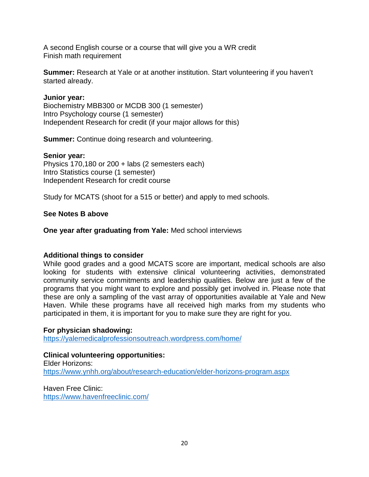A second English course or a course that will give you a WR credit Finish math requirement

**Summer:** Research at Yale or at another institution. Start volunteering if you haven't started already.

#### **Junior year:**

Biochemistry MBB300 or MCDB 300 (1 semester) Intro Psychology course (1 semester) Independent Research for credit (if your major allows for this)

**Summer:** Continue doing research and volunteering.

#### **Senior year:**

Physics 170,180 or 200 + labs (2 semesters each) Intro Statistics course (1 semester) Independent Research for credit course

Study for MCATS (shoot for a 515 or better) and apply to med schools.

#### **See Notes B above**

**One year after graduating from Yale:** Med school interviews

#### **Additional things to consider**

While good grades and a good MCATS score are important, medical schools are also looking for students with extensive clinical volunteering activities, demonstrated community service commitments and leadership qualities. Below are just a few of the programs that you might want to explore and possibly get involved in. Please note that these are only a sampling of the vast array of opportunities available at Yale and New Haven. While these programs have all received high marks from my students who participated in them, it is important for you to make sure they are right for you.

#### **For physician shadowing:**

<https://yalemedicalprofessionsoutreach.wordpress.com/home/>

#### **Clinical volunteering opportunities:**

Elder Horizons: <https://www.ynhh.org/about/research-education/elder-horizons-program.aspx>

Haven Free Clinic: <https://www.havenfreeclinic.com/>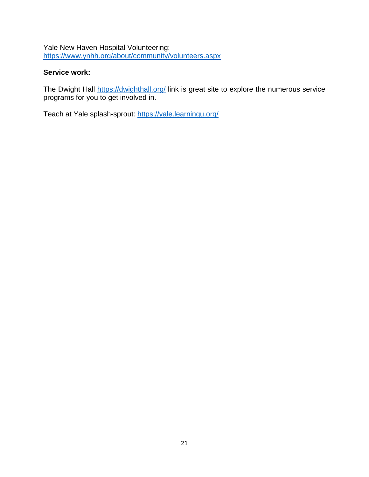Yale New Haven Hospital Volunteering: <https://www.ynhh.org/about/community/volunteers.aspx>

#### **Service work:**

The Dwight Hall<https://dwighthall.org/> link is great site to explore the numerous service programs for you to get involved in.

Teach at Yale splash-sprout:<https://yale.learningu.org/>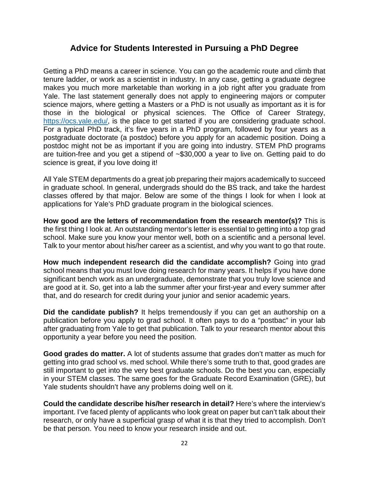# **Advice for Students Interested in Pursuing a PhD Degree**

Getting a PhD means a career in science. You can go the academic route and climb that tenure ladder, or work as a scientist in industry. In any case, getting a graduate degree makes you much more marketable than working in a job right after you graduate from Yale. The last statement generally does not apply to engineering majors or computer science majors, where getting a Masters or a PhD is not usually as important as it is for those in the biological or physical sciences. The Office of Career Strategy, [https://ocs.yale.edu/,](https://ocs.yale.edu/) is the place to get started if you are considering graduate school. For a typical PhD track, it's five years in a PhD program, followed by four years as a postgraduate doctorate (a postdoc) before you apply for an academic position. Doing a postdoc might not be as important if you are going into industry. STEM PhD programs are tuition-free and you get a stipend of ~\$30,000 a year to live on. Getting paid to do science is great, if you love doing it!

All Yale STEM departments do a great job preparing their majors academically to succeed in graduate school. In general, undergrads should do the BS track, and take the hardest classes offered by that major. Below are some of the things I look for when I look at applications for Yale's PhD graduate program in the biological sciences.

**How good are the letters of recommendation from the research mentor(s)?** This is the first thing I look at. An outstanding mentor's letter is essential to getting into a top grad school. Make sure you know your mentor well, both on a scientific and a personal level. Talk to your mentor about his/her career as a scientist, and why you want to go that route.

**How much independent research did the candidate accomplish?** Going into grad school means that you must love doing research for many years. It helps if you have done significant bench work as an undergraduate, demonstrate that you truly love science and are good at it. So, get into a lab the summer after your first-year and every summer after that, and do research for credit during your junior and senior academic years.

**Did the candidate publish?** It helps tremendously if you can get an authorship on a publication before you apply to grad school. It often pays to do a "postbac" in your lab after graduating from Yale to get that publication. Talk to your research mentor about this opportunity a year before you need the position.

**Good grades do matter.** A lot of students assume that grades don't matter as much for getting into grad school vs. med school. While there's some truth to that, good grades are still important to get into the very best graduate schools. Do the best you can, especially in your STEM classes. The same goes for the Graduate Record Examination (GRE), but Yale students shouldn't have any problems doing well on it.

**Could the candidate describe his/her research in detail?** Here's where the interview's important. I've faced plenty of applicants who look great on paper but can't talk about their research, or only have a superficial grasp of what it is that they tried to accomplish. Don't be that person. You need to know your research inside and out.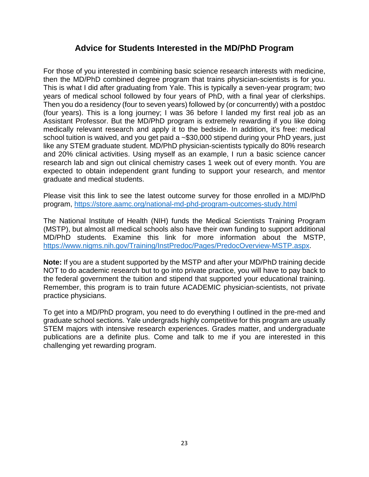## **Advice for Students Interested in the MD/PhD Program**

For those of you interested in combining basic science research interests with medicine, then the MD/PhD combined degree program that trains physician-scientists is for you. This is what I did after graduating from Yale. This is typically a seven-year program; two years of medical school followed by four years of PhD, with a final year of clerkships. Then you do a residency (four to seven years) followed by (or concurrently) with a postdoc (four years). This is a long journey; I was 36 before I landed my first real job as an Assistant Professor. But the MD/PhD program is extremely rewarding if you like doing medically relevant research and apply it to the bedside. In addition, it's free: medical school tuition is waived, and you get paid a ~\$30,000 stipend during your PhD years, just like any STEM graduate student. MD/PhD physician-scientists typically do 80% research and 20% clinical activities. Using myself as an example, I run a basic science cancer research lab and sign out clinical chemistry cases 1 week out of every month. You are expected to obtain independent grant funding to support your research, and mentor graduate and medical students.

Please visit this link to see the latest outcome survey for those enrolled in a MD/PhD program, <https://store.aamc.org/national-md-phd-program-outcomes-study.html>

The National Institute of Health (NIH) funds the Medical Scientists Training Program (MSTP), but almost all medical schools also have their own funding to support additional MD/PhD students. Examine this link for more information about the MSTP, [https://www.nigms.nih.gov/Training/InstPredoc/Pages/PredocOverview-MSTP.aspx.](https://www.nigms.nih.gov/Training/InstPredoc/Pages/PredocOverview-MSTP.aspx)

**Note:** If you are a student supported by the MSTP and after your MD/PhD training decide NOT to do academic research but to go into private practice, you will have to pay back to the federal government the tuition and stipend that supported your educational training. Remember, this program is to train future ACADEMIC physician-scientists, not private practice physicians.

To get into a MD/PhD program, you need to do everything I outlined in the pre-med and graduate school sections. Yale undergrads highly competitive for this program are usually STEM majors with intensive research experiences. Grades matter, and undergraduate publications are a definite plus. Come and talk to me if you are interested in this challenging yet rewarding program.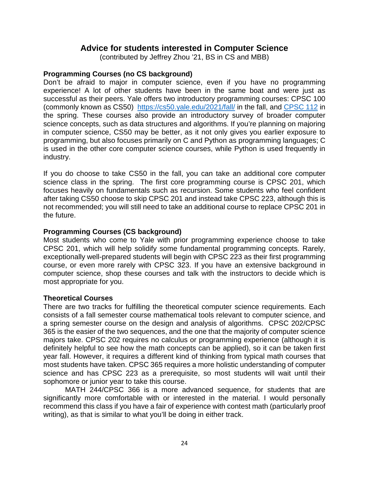#### **Advice for students interested in Computer Science**

(contributed by Jeffrey Zhou '21, BS in CS and MBB)

#### **Programming Courses (no CS background)**

Don't be afraid to major in computer science, even if you have no programming experience! A lot of other students have been in the same boat and were just as successful as their peers. Yale offers two introductory programming courses: CPSC 100 (commonly known as CS50) <https://cs50.yale.edu/2021/fall/> in the fall, and [CPSC 112](https://science.yalecollege.yale.edu/academics/faculty-resources/qr-courses-without-prerequisite/qr-courses/cpsc-112a-or-b-introduction) in the spring. These courses also provide an introductory survey of broader computer science concepts, such as data structures and algorithms. If you're planning on majoring in computer science, CS50 may be better, as it not only gives you earlier exposure to programming, but also focuses primarily on C and Python as programming languages; C is used in the other core computer science courses, while Python is used frequently in industry.

If you do choose to take CS50 in the fall, you can take an additional core computer science class in the spring. The first core programming course is CPSC 201, which focuses heavily on fundamentals such as recursion. Some students who feel confident after taking CS50 choose to skip CPSC 201 and instead take CPSC 223, although this is not recommended; you will still need to take an additional course to replace CPSC 201 in the future.

#### **Programming Courses (CS background)**

Most students who come to Yale with prior programming experience choose to take CPSC 201, which will help solidify some fundamental programming concepts. Rarely, exceptionally well-prepared students will begin with CPSC 223 as their first programming course, or even more rarely with CPSC 323. If you have an extensive background in computer science, shop these courses and talk with the instructors to decide which is most appropriate for you.

#### **Theoretical Courses**

There are two tracks for fulfilling the theoretical computer science requirements. Each consists of a fall semester course mathematical tools relevant to computer science, and a spring semester course on the design and analysis of algorithms. CPSC 202/CPSC 365 is the easier of the two sequences, and the one that the majority of computer science majors take. CPSC 202 requires no calculus or programming experience (although it is definitely helpful to see how the math concepts can be applied), so it can be taken first year fall. However, it requires a different kind of thinking from typical math courses that most students have taken. CPSC 365 requires a more holistic understanding of computer science and has CPSC 223 as a prerequisite, so most students will wait until their sophomore or junior year to take this course.

MATH 244/CPSC 366 is a more advanced sequence, for students that are significantly more comfortable with or interested in the material. I would personally recommend this class if you have a fair of experience with contest math (particularly proof writing), as that is similar to what you'll be doing in either track.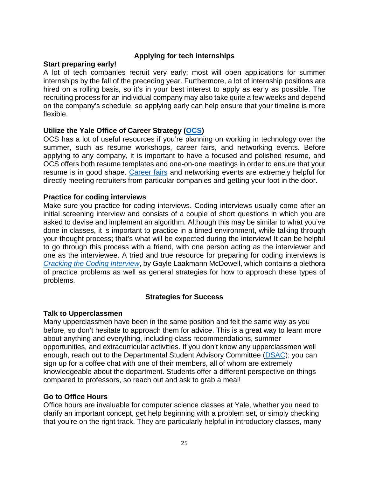#### **Applying for tech internships**

#### **Start preparing early!**

A lot of tech companies recruit very early; most will open applications for summer internships by the fall of the preceding year. Furthermore, a lot of internship positions are hired on a rolling basis, so it's in your best interest to apply as early as possible. The recruiting process for an individual company may also take quite a few weeks and depend on the company's schedule, so applying early can help ensure that your timeline is more flexible.

#### **Utilize the Yale Office of Career Strategy [\(OCS\)](https://ocs.yale.edu/)**

OCS has a lot of useful resources if you're planning on working in technology over the summer, such as resume workshops, career fairs, and networking events. Before applying to any company, it is important to have a focused and polished resume, and OCS offers both resume templates and one-on-one meetings in order to ensure that your resume is in good shape. [Career fairs](https://ocs.yale.edu/get-hired/employer-events) and networking events are extremely helpful for directly meeting recruiters from particular companies and getting your foot in the door.

#### **Practice for coding interviews**

Make sure you practice for coding interviews. Coding interviews usually come after an initial screening interview and consists of a couple of short questions in which you are asked to devise and implement an algorithm. Although this may be similar to what you've done in classes, it is important to practice in a timed environment, while talking through your thought process; that's what will be expected during the interview! It can be helpful to go through this process with a friend, with one person acting as the interviewer and one as the interviewee. A tried and true resource for preparing for coding interviews is *[Cracking the Coding Interview](http://www.crackingthecodinginterview.com/)*, by Gayle Laakmann McDowell, which contains a plethora of practice problems as well as general strategies for how to approach these types of problems.

#### **Strategies for Success**

#### **Talk to Upperclassmen**

Many upperclassmen have been in the same position and felt the same way as you before, so don't hesitate to approach them for advice. This is a great way to learn more about anything and everything, including class recommendations, summer opportunities, and extracurricular activities. If you don't know any upperclassmen well enough, reach out to the Departmental Student Advisory Committee [\(DSAC\)](http://zoo.cs.yale.edu/dsac/); you can sign up for a coffee chat with one of their members, all of whom are extremely knowledgeable about the department. Students offer a different perspective on things compared to professors, so reach out and ask to grab a meal!

#### **Go to Office Hours**

Office hours are invaluable for computer science classes at Yale, whether you need to clarify an important concept, get help beginning with a problem set, or simply checking that you're on the right track. They are particularly helpful in introductory classes, many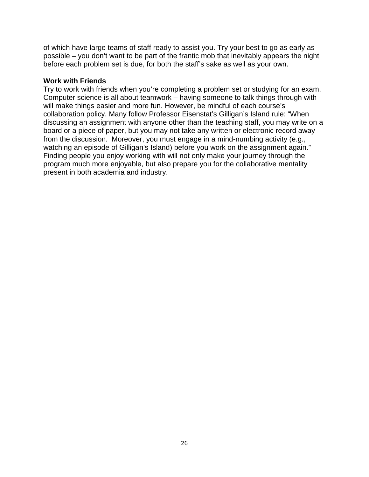of which have large teams of staff ready to assist you. Try your best to go as early as possible – you don't want to be part of the frantic mob that inevitably appears the night before each problem set is due, for both the staff's sake as well as your own.

#### **Work with Friends**

Try to work with friends when you're completing a problem set or studying for an exam. Computer science is all about teamwork – having someone to talk things through with will make things easier and more fun. However, be mindful of each course's collaboration policy. Many follow Professor Eisenstat's Gilligan's Island rule: "When discussing an assignment with anyone other than the teaching staff, you may write on a board or a piece of paper, but you may not take any written or electronic record away from the discussion. Moreover, you must engage in a mind-numbing activity (e.g., watching an episode of Gilligan's Island) before you work on the assignment again." Finding people you enjoy working with will not only make your journey through the program much more enjoyable, but also prepare you for the collaborative mentality present in both academia and industry.